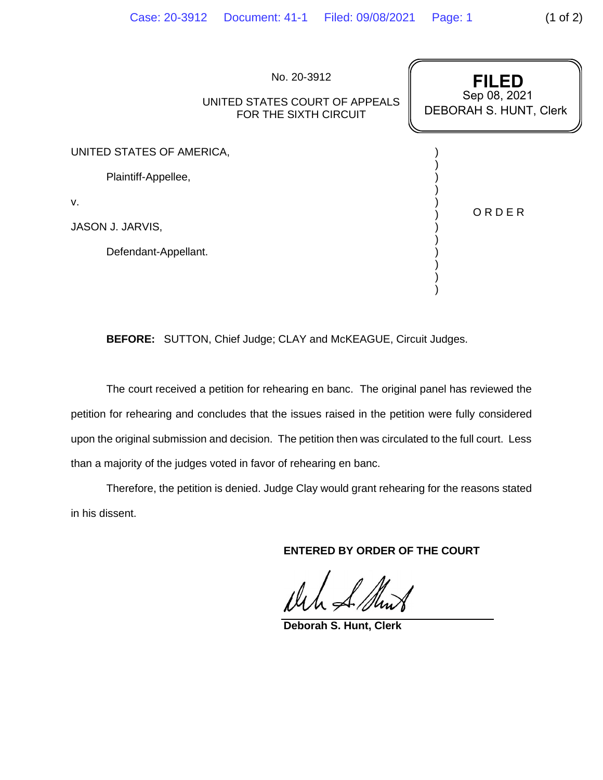| No. 20-3912<br>UNITED STATES COURT OF APPEALS<br>FOR THE SIXTH CIRCUIT | <b>FILED</b><br>Sep 08, 2021<br><b>DEBORAH S. HUNT, Clerk</b> |
|------------------------------------------------------------------------|---------------------------------------------------------------|
| UNITED STATES OF AMERICA,                                              |                                                               |
| Plaintiff-Appellee,                                                    |                                                               |
| V.                                                                     | ORDER                                                         |
| JASON J. JARVIS,                                                       |                                                               |
| Defendant-Appellant.                                                   |                                                               |
|                                                                        |                                                               |
|                                                                        |                                                               |

**BEFORE:** SUTTON, Chief Judge; CLAY and McKEAGUE, Circuit Judges.

The court received a petition for rehearing en banc. The original panel has reviewed the petition for rehearing and concludes that the issues raised in the petition were fully considered upon the original submission and decision. The petition then was circulated to the full court. Less than a majority of the judges voted in favor of rehearing en banc.

Therefore, the petition is denied. Judge Clay would grant rehearing for the reasons stated in his dissent.

**ENTERED BY ORDER OF THE COURT**

**Deborah S. Hunt, Clerk**